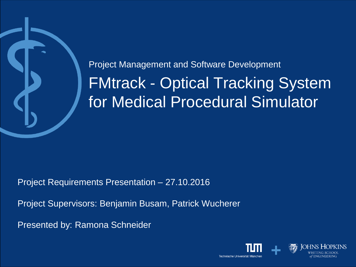

FMtrack - Optical Tracking System for Medical Procedural Simulator Project Management and Software Development

Project Requirements Presentation – 27.10.2016

Project Supervisors: Benjamin Busam, Patrick Wucherer

Presented by: Ramona Schneider

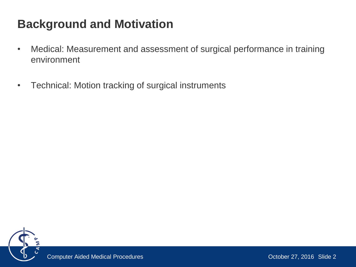## **Background and Motivation**

- Medical: Measurement and assessment of surgical performance in training environment
- Technical: Motion tracking of surgical instruments

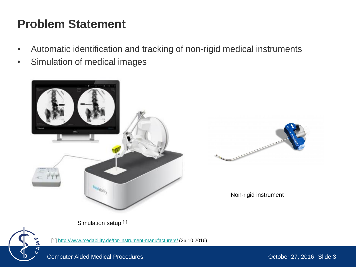## **Problem Statement**

- Automatic identification and tracking of non-rigid medical instruments
- Simulation of medical images





Non-rigid instrument

Simulation setup [1]



[1] <http://www.medability.de/for-instrument-manufacturers/> (26.10.2016)

Computer Aided Medical Procedures **Computer Aided Medical Procedures** Computer Aided 3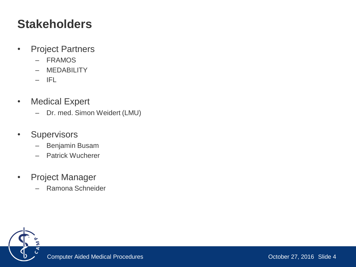## **Stakeholders**

- Project Partners
	- FRAMOS
	- MEDABILITY
	- IFL
- Medical Expert
	- Dr. med. Simon Weidert (LMU)
- Supervisors
	- Benjamin Busam
	- Patrick Wucherer
- Project Manager
	- Ramona Schneider

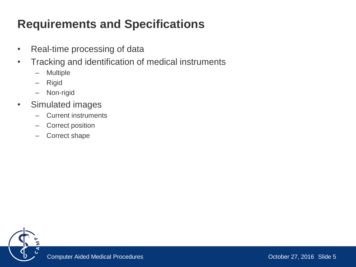# **Requirements and Specifications**

- Real-time processing of data
- Tracking and identification of medical instruments
	- Multiple
	- Rigid
	- Non-rigid
- Simulated images
	- Current instruments
	- Correct position
	- Correct shape

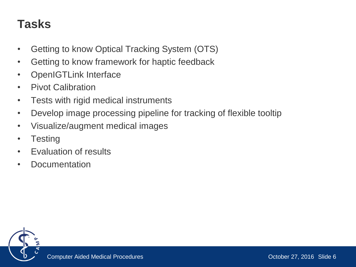## **Tasks**

- Getting to know Optical Tracking System (OTS)
- Getting to know framework for haptic feedback
- OpenIGTLink Interface
- Pivot Calibration
- Tests with rigid medical instruments
- Develop image processing pipeline for tracking of flexible tooltip
- Visualize/augment medical images
- Testing
- Evaluation of results
- Documentation